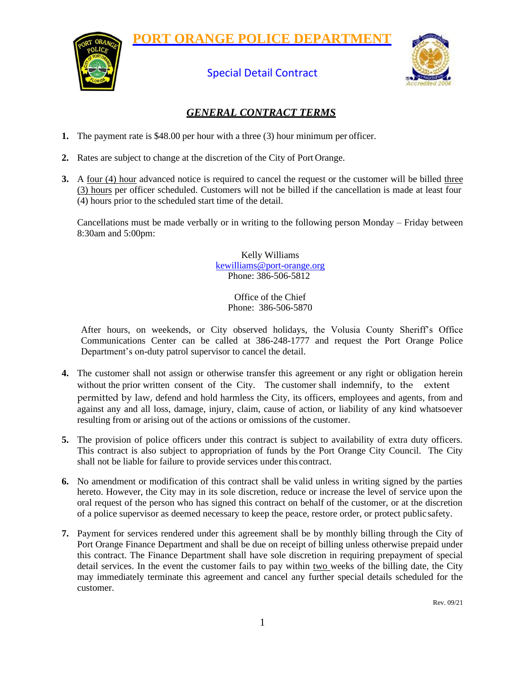**PORT ORANGE POLICE DEPARTMENT**



## Special Detail Contract



## *GENERAL CONTRACT TERMS*

- **1.** The payment rate is \$48.00 per hour with a three (3) hour minimum per officer.
- **2.** Rates are subject to change at the discretion of the City of Port Orange.
- **3.** A four (4) hour advanced notice is required to cancel the request or the customer will be billed three (3) hours per officer scheduled. Customers will not be billed if the cancellation is made at least four (4) hours prior to the scheduled start time of the detail.

Cancellations must be made verbally or in writing to the following person Monday – Friday between 8:30am and 5:00pm:

> Kelly Williams [kewilliams@port-orange.org](mailto:kewilliams@port-orange.orgPhone:%203) [Phone: 38](mailto:kewilliams@port-orange.orgPhone:%203)6-506-5812

> > Office of the Chief Phone: 386-506-5870

After hours, on weekends, or City observed holidays, the Volusia County Sheriff's Office Communications Center can be called at 386-248-1777 and request the Port Orange Police Department's on-duty patrol supervisor to cancel the detail.

- without the prior written consent of the City. The customer shall indemnify, to the extent **4.** The customer shall not assign or otherwise transfer this agreement or any right or obligation herein permitted by law, defend and hold harmless the City, its officers, employees and agents, from and against any and all loss, damage, injury, claim, cause of action, or liability of any kind whatsoever resulting from or arising out of the actions or omissions of the customer.
- **5.** The provision of police officers under this contract is subject to availability of extra duty officers. This contract is also subject to appropriation of funds by the Port Orange City Council. The City shall not be liable for failure to provide services under this contract.
- **6.** No amendment or modification of this contract shall be valid unless in writing signed by the parties hereto. However, the City may in its sole discretion, reduce or increase the level of service upon the oral request of the person who has signed this contract on behalf of the customer, or at the discretion of a police supervisor as deemed necessary to keep the peace, restore order, or protect public safety.
- **7.** Payment for services rendered under this agreement shall be by monthly billing through the City of Port Orange Finance Department and shall be due on receipt of billing unless otherwise prepaid under this contract. The Finance Department shall have sole discretion in requiring prepayment of special detail services. In the event the customer fails to pay within two weeks of the billing date, the City may immediately terminate this agreement and cancel any further special details scheduled for the customer.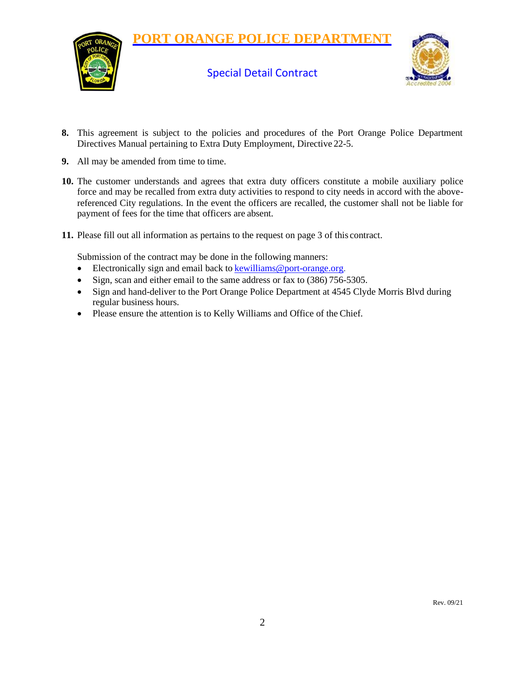





- **8.** This agreement is subject to the policies and procedures of the Port Orange Police Department Directives Manual pertaining to Extra Duty Employment, Directive 22-5.
- **9.** All may be amended from time to time.
- **10.** The customer understands and agrees that extra duty officers constitute a mobile auxiliary police force and may be recalled from extra duty activities to respond to city needs in accord with the abovereferenced City regulations. In the event the officers are recalled, the customer shall not be liable for payment of fees for the time that officers are absent.
- **11.** Please fill out all information as pertains to the request on page 3 of this contract.

Submission of the contract may be done in the following manners:

- Electronically sign and email back to [kewilliams@port-orange.org.](mailto:Kewilliams@port-orange.org)
- Sign, scan and either email to the same address or fax to (386) 756-5305.
- Sign and hand-deliver to the Port Orange Police Department at 4545 Clyde Morris Blvd during regular business hours.
- Please ensure the attention is to Kelly Williams and Office of the Chief.